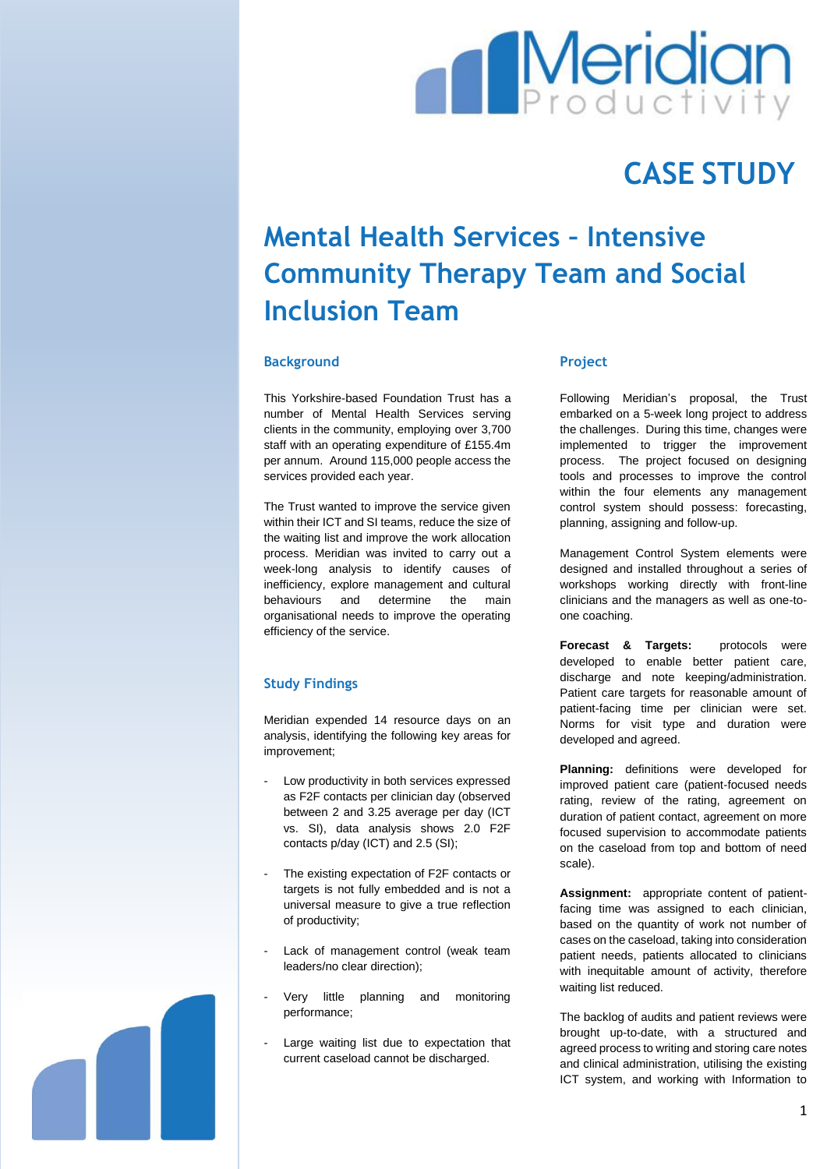

## **CASE STUDY**

# **Mental Health Services – Intensive Community Therapy Team and Social Inclusion Team**

#### **Background**

This Yorkshire-based Foundation Trust has a number of Mental Health Services serving clients in the community, employing over 3,700 staff with an operating expenditure of £155.4m per annum. Around 115,000 people access the services provided each year.

The Trust wanted to improve the service given within their ICT and SI teams, reduce the size of the waiting list and improve the work allocation process. Meridian was invited to carry out a week-long analysis to identify causes of inefficiency, explore management and cultural behaviours and determine the main organisational needs to improve the operating efficiency of the service.

#### **Study Findings**

Meridian expended 14 resource days on an analysis, identifying the following key areas for improvement;

- Low productivity in both services expressed as F2F contacts per clinician day (observed between 2 and 3.25 average per day (ICT vs. SI), data analysis shows 2.0 F2F contacts p/day (ICT) and 2.5 (SI);
- The existing expectation of F2F contacts or targets is not fully embedded and is not a universal measure to give a true reflection of productivity;
- Lack of management control (weak team leaders/no clear direction);
- Very little planning and monitoring performance;
- Large waiting list due to expectation that current caseload cannot be discharged.

#### **Project**

Following Meridian's proposal, the Trust embarked on a 5-week long project to address the challenges. During this time, changes were implemented to trigger the improvement process. The project focused on designing tools and processes to improve the control within the four elements any management control system should possess: forecasting, planning, assigning and follow-up.

Management Control System elements were designed and installed throughout a series of workshops working directly with front-line clinicians and the managers as well as one-toone coaching.

**Forecast & Targets:** protocols were developed to enable better patient care, discharge and note keeping/administration. Patient care targets for reasonable amount of patient-facing time per clinician were set. Norms for visit type and duration were developed and agreed.

**Planning:** definitions were developed for improved patient care (patient-focused needs rating, review of the rating, agreement on duration of patient contact, agreement on more focused supervision to accommodate patients on the caseload from top and bottom of need scale).

**Assignment:** appropriate content of patientfacing time was assigned to each clinician, based on the quantity of work not number of cases on the caseload, taking into consideration patient needs, patients allocated to clinicians with inequitable amount of activity, therefore waiting list reduced.

The backlog of audits and patient reviews were brought up-to-date, with a structured and agreed process to writing and storing care notes and clinical administration, utilising the existing ICT system, and working with Information to